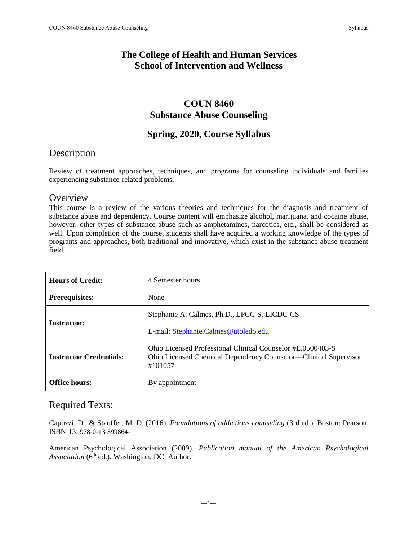#### **The College of Health and Human Services School of Intervention and Wellness**

# **COUN 8460 Substance Abuse Counseling**

#### **Spring, 2020, Course Syllabus**

# Description

Review of treatment approaches, techniques, and programs for counseling individuals and families experiencing substance-related problems.

#### **Overview**

This course is a review of the various theories and techniques for the diagnosis and treatment of substance abuse and dependency. Course content will emphasize alcohol, marijuana, and cocaine abuse, however, other types of substance abuse such as amphetamines, narcotics, etc., shall be considered as well. Upon completion of the course, students shall have acquired a working knowledge of the types of programs and approaches, both traditional and innovative, which exist in the substance abuse treatment field.

| <b>Hours of Credit:</b>        | 4 Semester hours                                                                                                                         |  |
|--------------------------------|------------------------------------------------------------------------------------------------------------------------------------------|--|
| <b>Prerequisites:</b>          | None                                                                                                                                     |  |
| <b>Instructor:</b>             | Stephanie A. Calmes, Ph.D., LPCC-S, LICDC-CS<br>E-mail: Stephanie.Calmes@utoledo.edu                                                     |  |
| <b>Instructor Credentials:</b> | Ohio Licensed Professional Clinical Counselor #E.0500403-S<br>Ohio Licensed Chemical Dependency Counselor—Clinical Supervisor<br>#101057 |  |
| <b>Office hours:</b>           | By appointment                                                                                                                           |  |

#### Required Texts:

Capuzzi, D., & Stauffer, M. D. (2016). *Foundations of addictions counseling* (3rd ed.). Boston: Pearson. ISBN-13: 978-0-13-399864-1

American Psychological Association (2009). *Publication manual of the American Psychological Association* ( $6<sup>th</sup>$  ed.). Washington, DC: Author.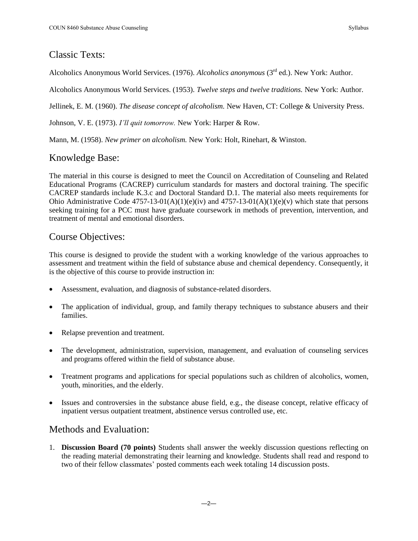#### Classic Texts:

Alcoholics Anonymous World Services. (1976). *Alcoholics anonymous* (3rd ed.). New York: Author.

Alcoholics Anonymous World Services. (1953). *Twelve steps and twelve traditions.* New York: Author.

Jellinek, E. M. (1960). *The disease concept of alcoholism.* New Haven, CT: College & University Press.

Johnson, V. E. (1973). *I'll quit tomorrow.* New York: Harper & Row.

Mann, M. (1958). *New primer on alcoholism.* New York: Holt, Rinehart, & Winston.

# Knowledge Base:

The material in this course is designed to meet the Council on Accreditation of Counseling and Related Educational Programs (CACREP) curriculum standards for masters and doctoral training. The specific CACREP standards include K.3.c and Doctoral Standard D.1. The material also meets requirements for Ohio Administrative Code  $4757-13-01(A)(1)(e)(iv)$  and  $4757-13-01(A)(1)(e)(v)$  which state that persons seeking training for a PCC must have graduate coursework in methods of prevention, intervention, and treatment of mental and emotional disorders.

# Course Objectives:

This course is designed to provide the student with a working knowledge of the various approaches to assessment and treatment within the field of substance abuse and chemical dependency. Consequently, it is the objective of this course to provide instruction in:

- Assessment, evaluation, and diagnosis of substance-related disorders.
- The application of individual, group, and family therapy techniques to substance abusers and their families.
- Relapse prevention and treatment.
- The development, administration, supervision, management, and evaluation of counseling services and programs offered within the field of substance abuse.
- Treatment programs and applications for special populations such as children of alcoholics, women, youth, minorities, and the elderly.
- Issues and controversies in the substance abuse field, e.g., the disease concept, relative efficacy of inpatient versus outpatient treatment, abstinence versus controlled use, etc.

# Methods and Evaluation:

1. **Discussion Board (70 points)** Students shall answer the weekly discussion questions reflecting on the reading material demonstrating their learning and knowledge. Students shall read and respond to two of their fellow classmates' posted comments each week totaling 14 discussion posts.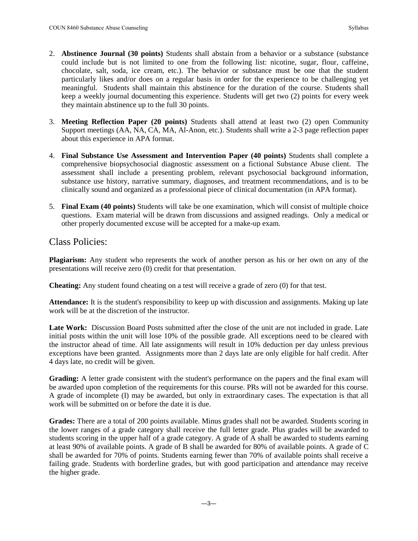- 2. **Abstinence Journal (30 points)** Students shall abstain from a behavior or a substance (substance could include but is not limited to one from the following list: nicotine, sugar, flour, caffeine, chocolate, salt, soda, ice cream, etc.). The behavior or substance must be one that the student particularly likes and/or does on a regular basis in order for the experience to be challenging yet meaningful. Students shall maintain this abstinence for the duration of the course. Students shall keep a weekly journal documenting this experience. Students will get two (2) points for every week they maintain abstinence up to the full 30 points.
- 3. **Meeting Reflection Paper (20 points)** Students shall attend at least two (2) open Community Support meetings (AA, NA, CA, MA, Al-Anon, etc.). Students shall write a 2-3 page reflection paper about this experience in APA format.
- 4. **Final Substance Use Assessment and Intervention Paper (40 points)** Students shall complete a comprehensive biopsychosocial diagnostic assessment on a fictional Substance Abuse client. The assessment shall include a presenting problem, relevant psychosocial background information, substance use history, narrative summary, diagnoses, and treatment recommendations, and is to be clinically sound and organized as a professional piece of clinical documentation (in APA format).
- 5. **Final Exam (40 points)** Students will take be one examination, which will consist of multiple choice questions. Exam material will be drawn from discussions and assigned readings. Only a medical or other properly documented excuse will be accepted for a make-up exam.

#### Class Policies:

**Plagiarism:** Any student who represents the work of another person as his or her own on any of the presentations will receive zero (0) credit for that presentation.

**Cheating:** Any student found cheating on a test will receive a grade of zero (0) for that test.

**Attendance:** It is the student's responsibility to keep up with discussion and assignments. Making up late work will be at the discretion of the instructor.

Late Work: Discussion Board Posts submitted after the close of the unit are not included in grade. Late initial posts within the unit will lose 10% of the possible grade. All exceptions need to be cleared with the instructor ahead of time. All late assignments will result in 10% deduction per day unless previous exceptions have been granted. Assignments more than 2 days late are only eligible for half credit. After 4 days late, no credit will be given.

**Grading:** A letter grade consistent with the student's performance on the papers and the final exam will be awarded upon completion of the requirements for this course. PRs will not be awarded for this course. A grade of incomplete (I) may be awarded, but only in extraordinary cases. The expectation is that all work will be submitted on or before the date it is due.

**Grades:** There are a total of 200 points available. Minus grades shall not be awarded. Students scoring in the lower ranges of a grade category shall receive the full letter grade. Plus grades will be awarded to students scoring in the upper half of a grade category. A grade of A shall be awarded to students earning at least 90% of available points. A grade of B shall be awarded for 80% of available points. A grade of C shall be awarded for 70% of points. Students earning fewer than 70% of available points shall receive a failing grade. Students with borderline grades, but with good participation and attendance may receive the higher grade.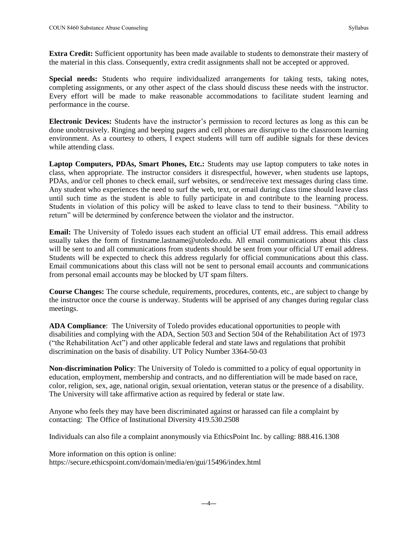**Extra Credit:** Sufficient opportunity has been made available to students to demonstrate their mastery of the material in this class. Consequently, extra credit assignments shall not be accepted or approved.

**Special needs:** Students who require individualized arrangements for taking tests, taking notes, completing assignments, or any other aspect of the class should discuss these needs with the instructor. Every effort will be made to make reasonable accommodations to facilitate student learning and performance in the course.

**Electronic Devices:** Students have the instructor's permission to record lectures as long as this can be done unobtrusively. Ringing and beeping pagers and cell phones are disruptive to the classroom learning environment. As a courtesy to others, I expect students will turn off audible signals for these devices while attending class.

**Laptop Computers, PDAs, Smart Phones, Etc.:** Students may use laptop computers to take notes in class, when appropriate. The instructor considers it disrespectful, however, when students use laptops, PDAs, and/or cell phones to check email, surf websites, or send/receive text messages during class time. Any student who experiences the need to surf the web, text, or email during class time should leave class until such time as the student is able to fully participate in and contribute to the learning process. Students in violation of this policy will be asked to leave class to tend to their business. "Ability to return" will be determined by conference between the violator and the instructor.

**Email:** The University of Toledo issues each student an official UT email address. This email address usually takes the form of firstname.lastname@utoledo.edu. All email communications about this class will be sent to and all communications from students should be sent from your official UT email address. Students will be expected to check this address regularly for official communications about this class. Email communications about this class will not be sent to personal email accounts and communications from personal email accounts may be blocked by UT spam filters.

**Course Changes:** The course schedule, requirements, procedures, contents, etc., are subject to change by the instructor once the course is underway. Students will be apprised of any changes during regular class meetings.

**ADA Compliance**: The University of Toledo provides educational opportunities to people with disabilities and complying with the ADA, Section 503 and Section 504 of the Rehabilitation Act of 1973 ("the Rehabilitation Act") and other applicable federal and state laws and regulations that prohibit discrimination on the basis of disability. UT Policy Number 3364-50-03

**Non-discrimination Policy**: The University of Toledo is committed to a policy of equal opportunity in education, employment, membership and contracts, and no differentiation will be made based on race, color, religion, sex, age, national origin, sexual orientation, veteran status or the presence of a disability. The University will take affirmative action as required by federal or state law.

Anyone who feels they may have been discriminated against or harassed can file a complaint by contacting: The Office of Institutional Diversity 419.530.2508

Individuals can also file a complaint anonymously via EthicsPoint Inc. by calling: 888.416.1308

More information on this option is online: https://secure.ethicspoint.com/domain/media/en/gui/15496/index.html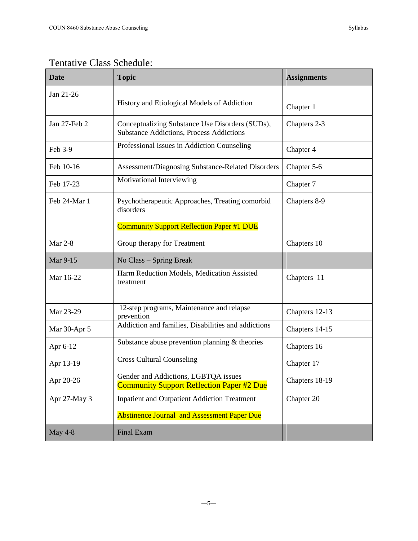# Tentative Class Schedule:

| <b>Date</b>    | <b>Topic</b>                                                                                       | <b>Assignments</b> |
|----------------|----------------------------------------------------------------------------------------------------|--------------------|
| Jan 21-26      | History and Etiological Models of Addiction                                                        | Chapter 1          |
| Jan 27-Feb 2   | Conceptualizing Substance Use Disorders (SUDs),<br><b>Substance Addictions, Process Addictions</b> | Chapters 2-3       |
| Feb 3-9        | Professional Issues in Addiction Counseling                                                        | Chapter 4          |
| Feb 10-16      | Assessment/Diagnosing Substance-Related Disorders                                                  | Chapter 5-6        |
| Feb 17-23      | Motivational Interviewing                                                                          | Chapter 7          |
| Feb 24-Mar 1   | Psychotherapeutic Approaches, Treating comorbid<br>disorders                                       | Chapters 8-9       |
|                | <b>Community Support Reflection Paper #1 DUE</b>                                                   |                    |
| <b>Mar 2-8</b> | Group therapy for Treatment                                                                        | Chapters 10        |
| Mar 9-15       | No Class - Spring Break                                                                            |                    |
| Mar 16-22      | Harm Reduction Models, Medication Assisted<br>treatment                                            | Chapters 11        |
| Mar 23-29      | 12-step programs, Maintenance and relapse<br>prevention                                            | Chapters 12-13     |
| Mar 30-Apr 5   | Addiction and families, Disabilities and addictions                                                | Chapters 14-15     |
| Apr 6-12       | Substance abuse prevention planning $&$ theories                                                   | Chapters 16        |
| Apr 13-19      | <b>Cross Cultural Counseling</b>                                                                   | Chapter 17         |
| Apr 20-26      | Gender and Addictions, LGBTQA issues<br><b>Community Support Reflection Paper #2 Due</b>           | Chapters 18-19     |
| Apr 27-May 3   | <b>Inpatient and Outpatient Addiction Treatment</b>                                                | Chapter 20         |
|                | <b>Abstinence Journal and Assessment Paper Due</b>                                                 |                    |
| <b>May 4-8</b> | <b>Final Exam</b>                                                                                  |                    |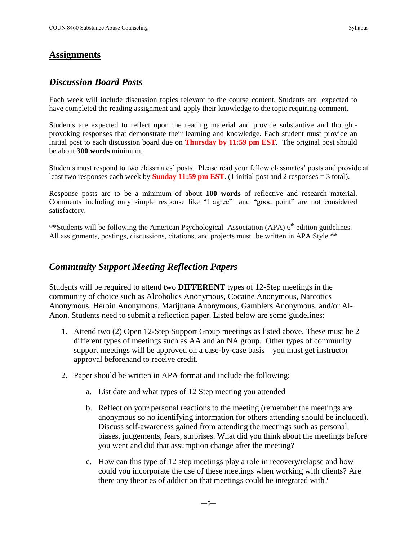#### *Discussion Board Posts*

Each week will include discussion topics relevant to the course content. Students are expected to have completed the reading assignment and apply their knowledge to the topic requiring comment.

Students are expected to reflect upon the reading material and provide substantive and thoughtprovoking responses that demonstrate their learning and knowledge. Each student must provide an initial post to each discussion board due on **Thursday by 11:59 pm EST**. The original post should be about **300 words** minimum.

Students must respond to two classmates' posts. Please read your fellow classmates' posts and provide at least two responses each week by **Sunday 11:59 pm EST**. (1 initial post and 2 responses = 3 total).

Response posts are to be a minimum of about **100 words** of reflective and research material. Comments including only simple response like "I agree" and "good point" are not considered satisfactory.

\*\*Students will be following the American Psychological Association (APA) 6<sup>th</sup> edition guidelines. All assignments, postings, discussions, citations, and projects must be written in APA Style.\*\*

#### *Community Support Meeting Reflection Papers*

Students will be required to attend two **DIFFERENT** types of 12-Step meetings in the community of choice such as Alcoholics Anonymous, Cocaine Anonymous, Narcotics Anonymous, Heroin Anonymous, Marijuana Anonymous, Gamblers Anonymous, and/or Al-Anon. Students need to submit a reflection paper. Listed below are some guidelines:

- 1. Attend two (2) Open 12-Step Support Group meetings as listed above. These must be 2 different types of meetings such as AA and an NA group. Other types of community support meetings will be approved on a case-by-case basis—you must get instructor approval beforehand to receive credit.
- 2. Paper should be written in APA format and include the following:
	- a. List date and what types of 12 Step meeting you attended
	- b. Reflect on your personal reactions to the meeting (remember the meetings are anonymous so no identifying information for others attending should be included). Discuss self-awareness gained from attending the meetings such as personal biases, judgements, fears, surprises. What did you think about the meetings before you went and did that assumption change after the meeting?
	- c. How can this type of 12 step meetings play a role in recovery/relapse and how could you incorporate the use of these meetings when working with clients? Are there any theories of addiction that meetings could be integrated with?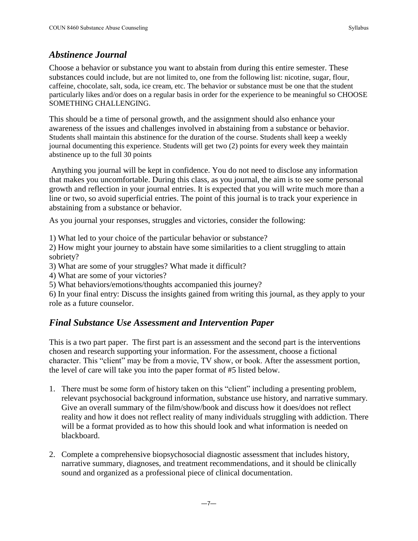#### *Abstinence Journal*

Choose a behavior or substance you want to abstain from during this entire semester. These substances could include, but are not limited to, one from the following list: nicotine, sugar, flour, caffeine, chocolate, salt, soda, ice cream, etc. The behavior or substance must be one that the student particularly likes and/or does on a regular basis in order for the experience to be meaningful so CHOOSE SOMETHING CHALLENGING.

This should be a time of personal growth, and the assignment should also enhance your awareness of the issues and challenges involved in abstaining from a substance or behavior. Students shall maintain this abstinence for the duration of the course. Students shall keep a weekly journal documenting this experience. Students will get two (2) points for every week they maintain abstinence up to the full 30 points

Anything you journal will be kept in confidence. You do not need to disclose any information that makes you uncomfortable. During this class, as you journal, the aim is to see some personal growth and reflection in your journal entries. It is expected that you will write much more than a line or two, so avoid superficial entries. The point of this journal is to track your experience in abstaining from a substance or behavior.

As you journal your responses, struggles and victories, consider the following:

1) What led to your choice of the particular behavior or substance?

2) How might your journey to abstain have some similarities to a client struggling to attain sobriety?

3) What are some of your struggles? What made it difficult?

4) What are some of your victories?

5) What behaviors/emotions/thoughts accompanied this journey?

6) In your final entry: Discuss the insights gained from writing this journal, as they apply to your role as a future counselor.

# *Final Substance Use Assessment and Intervention Paper*

This is a two part paper. The first part is an assessment and the second part is the interventions chosen and research supporting your information. For the assessment, choose a fictional character. This "client" may be from a movie, TV show, or book. After the assessment portion, the level of care will take you into the paper format of #5 listed below.

- 1. There must be some form of history taken on this "client" including a presenting problem, relevant psychosocial background information, substance use history, and narrative summary. Give an overall summary of the film/show/book and discuss how it does/does not reflect reality and how it does not reflect reality of many individuals struggling with addiction. There will be a format provided as to how this should look and what information is needed on blackboard.
- 2. Complete a comprehensive biopsychosocial diagnostic assessment that includes history, narrative summary, diagnoses, and treatment recommendations, and it should be clinically sound and organized as a professional piece of clinical documentation.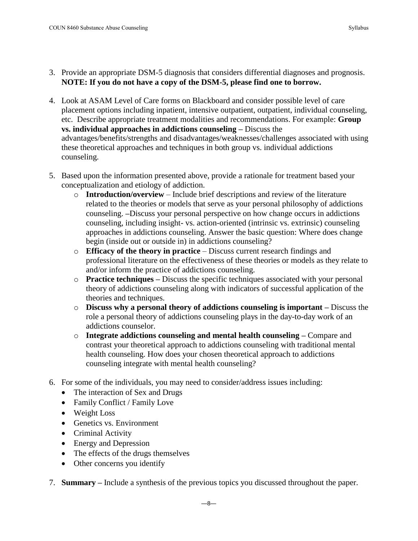- 3. Provide an appropriate DSM-5 diagnosis that considers differential diagnoses and prognosis. **NOTE: If you do not have a copy of the DSM-5, please find one to borrow.**
- 4. Look at ASAM Level of Care forms on Blackboard and consider possible level of care placement options including inpatient, intensive outpatient, outpatient, individual counseling, etc. Describe appropriate treatment modalities and recommendations. For example: **Group vs. individual approaches in addictions counseling –** Discuss the advantages/benefits/strengths and disadvantages/weaknesses/challenges associated with using these theoretical approaches and techniques in both group vs. individual addictions counseling.
- 5. Based upon the information presented above, provide a rationale for treatment based your conceptualization and etiology of addiction.
	- o **Introduction/overview** Include brief descriptions and review of the literature related to the theories or models that serve as your personal philosophy of addictions counseling. **–**Discuss your personal perspective on how change occurs in addictions counseling, including insight- vs. action-oriented (intrinsic vs. extrinsic) counseling approaches in addictions counseling. Answer the basic question: Where does change begin (inside out or outside in) in addictions counseling?
	- o **Efficacy of the theory in practice** Discuss current research findings and professional literature on the effectiveness of these theories or models as they relate to and/or inform the practice of addictions counseling.
	- o **Practice techniques –** Discuss the specific techniques associated with your personal theory of addictions counseling along with indicators of successful application of the theories and techniques.
	- o **Discuss why a personal theory of addictions counseling is important –** Discuss the role a personal theory of addictions counseling plays in the day-to-day work of an addictions counselor.
	- o **Integrate addictions counseling and mental health counseling –** Compare and contrast your theoretical approach to addictions counseling with traditional mental health counseling. How does your chosen theoretical approach to addictions counseling integrate with mental health counseling?
- 6. For some of the individuals, you may need to consider/address issues including:
	- The interaction of Sex and Drugs
	- Family Conflict / Family Love
	- Weight Loss
	- Genetics vs. Environment
	- Criminal Activity
	- Energy and Depression
	- The effects of the drugs themselves
	- Other concerns you identify
- 7. **Summary –** Include a synthesis of the previous topics you discussed throughout the paper.